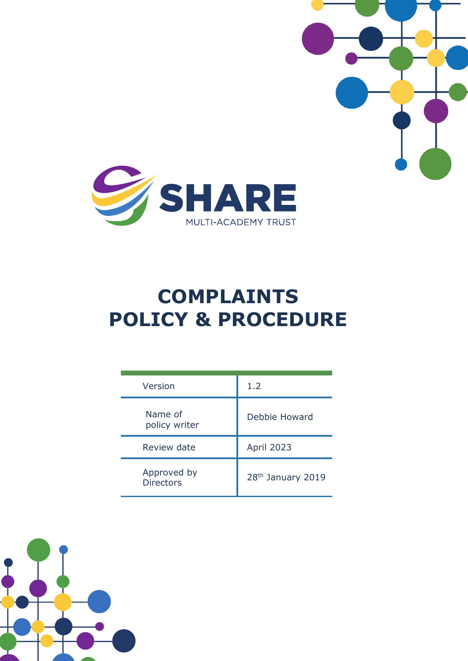

# **COMPLAINTS POLICY & PROCEDURE**

| Version                         | 1.2                           |
|---------------------------------|-------------------------------|
| Name of<br>policy writer        | Debbie Howard                 |
| Review date                     | <b>April 2023</b>             |
| Approved by<br><b>Directors</b> | 28 <sup>th</sup> January 2019 |

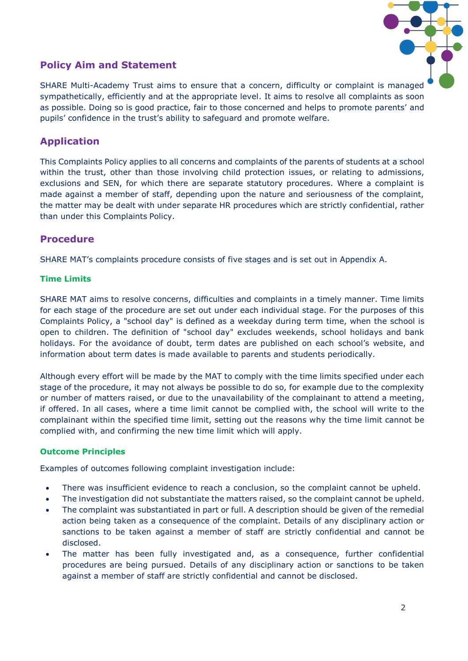

# **Policy Aim and Statement**

SHARE Multi-Academy Trust aims to ensure that a concern, difficulty or complaint is managed sympathetically, efficiently and at the appropriate level. It aims to resolve all complaints as soon as possible. Doing so is good practice, fair to those concerned and helps to promote parents' and pupils' confidence in the trust's ability to safeguard and promote welfare.

# **Application**

This Complaints Policy applies to all concerns and complaints of the parents of students at a school within the trust, other than those involving child protection issues, or relating to admissions, exclusions and SEN, for which there are separate statutory procedures. Where a complaint is made against a member of staff, depending upon the nature and seriousness of the complaint, the matter may be dealt with under separate HR procedures which are strictly confidential, rather than under this Complaints Policy.

# **Procedure**

SHARE MAT's complaints procedure consists of five stages and is set out in Appendix A.

## **Time Limits**

SHARE MAT aims to resolve concerns, difficulties and complaints in a timely manner. Time limits for each stage of the procedure are set out under each individual stage. For the purposes of this Complaints Policy, a "school day" is defined as a weekday during term time, when the school is open to children. The definition of "school day" excludes weekends, school holidays and bank holidays. For the avoidance of doubt, term dates are published on each school's website, and information about term dates is made available to parents and students periodically.

Although every effort will be made by the MAT to comply with the time limits specified under each stage of the procedure, it may not always be possible to do so, for example due to the complexity or number of matters raised, or due to the unavailability of the complainant to attend a meeting, if offered. In all cases, where a time limit cannot be complied with, the school will write to the complainant within the specified time limit, setting out the reasons why the time limit cannot be complied with, and confirming the new time limit which will apply.

## **Outcome Principles**

Examples of outcomes following complaint investigation include:

- There was insufficient evidence to reach a conclusion, so the complaint cannot be upheld.
- The investigation did not substantiate the matters raised, so the complaint cannot be upheld.
- The complaint was substantiated in part or full. A description should be given of the remedial action being taken as a consequence of the complaint. Details of any disciplinary action or sanctions to be taken against a member of staff are strictly confidential and cannot be disclosed.
- The matter has been fully investigated and, as a consequence, further confidential procedures are being pursued. Details of any disciplinary action or sanctions to be taken against a member of staff are strictly confidential and cannot be disclosed.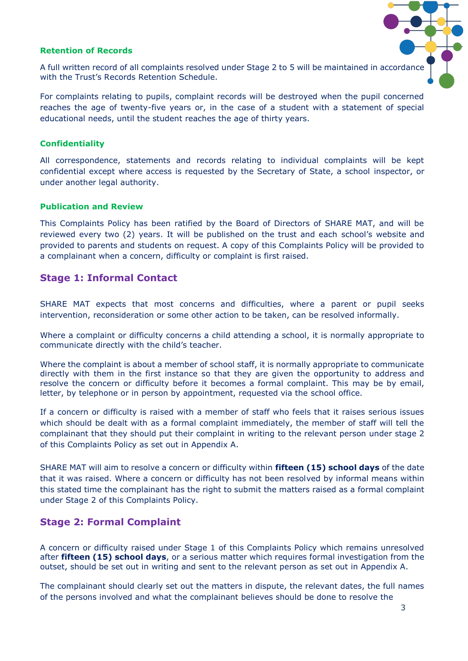## **Retention of Records**



A full written record of all complaints resolved under Stage 2 to 5 will be maintained in accordance with the Trust's Records Retention Schedule.

For complaints relating to pupils, complaint records will be destroyed when the pupil concerned reaches the age of twenty-five years or, in the case of a student with a statement of special educational needs, until the student reaches the age of thirty years.

#### **Confidentiality**

All correspondence, statements and records relating to individual complaints will be kept confidential except where access is requested by the Secretary of State, a school inspector, or under another legal authority.

#### **Publication and Review**

This Complaints Policy has been ratified by the Board of Directors of SHARE MAT, and will be reviewed every two (2) years. It will be published on the trust and each school's website and provided to parents and students on request. A copy of this Complaints Policy will be provided to a complainant when a concern, difficulty or complaint is first raised.

## **Stage 1: Informal Contact**

SHARE MAT expects that most concerns and difficulties, where a parent or pupil seeks intervention, reconsideration or some other action to be taken, can be resolved informally.

Where a complaint or difficulty concerns a child attending a school, it is normally appropriate to communicate directly with the child's teacher.

Where the complaint is about a member of school staff, it is normally appropriate to communicate directly with them in the first instance so that they are given the opportunity to address and resolve the concern or difficulty before it becomes a formal complaint. This may be by email, letter, by telephone or in person by appointment, requested via the school office.

If a concern or difficulty is raised with a member of staff who feels that it raises serious issues which should be dealt with as a formal complaint immediately, the member of staff will tell the complainant that they should put their complaint in writing to the relevant person under stage 2 of this Complaints Policy as set out in Appendix A.

SHARE MAT will aim to resolve a concern or difficulty within **fifteen (15) school days** of the date that it was raised. Where a concern or difficulty has not been resolved by informal means within this stated time the complainant has the right to submit the matters raised as a formal complaint under Stage 2 of this Complaints Policy.

## **Stage 2: Formal Complaint**

A concern or difficulty raised under Stage 1 of this Complaints Policy which remains unresolved after **fifteen (15) school days**, or a serious matter which requires formal investigation from the outset, should be set out in writing and sent to the relevant person as set out in Appendix A.

The complainant should clearly set out the matters in dispute, the relevant dates, the full names of the persons involved and what the complainant believes should be done to resolve the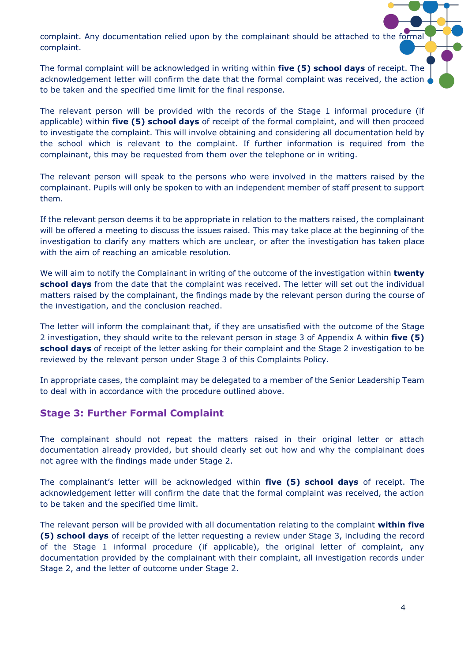complaint. Any documentation relied upon by the complainant should be attached to the formal complaint.

The formal complaint will be acknowledged in writing within **five (5) school days** of receipt. The acknowledgement letter will confirm the date that the formal complaint was received, the action to be taken and the specified time limit for the final response.

The relevant person will be provided with the records of the Stage 1 informal procedure (if applicable) within **five (5) school days** of receipt of the formal complaint, and will then proceed to investigate the complaint. This will involve obtaining and considering all documentation held by the school which is relevant to the complaint. If further information is required from the complainant, this may be requested from them over the telephone or in writing.

The relevant person will speak to the persons who were involved in the matters raised by the complainant. Pupils will only be spoken to with an independent member of staff present to support them.

If the relevant person deems it to be appropriate in relation to the matters raised, the complainant will be offered a meeting to discuss the issues raised. This may take place at the beginning of the investigation to clarify any matters which are unclear, or after the investigation has taken place with the aim of reaching an amicable resolution.

We will aim to notify the Complainant in writing of the outcome of the investigation within **twenty school days** from the date that the complaint was received. The letter will set out the individual matters raised by the complainant, the findings made by the relevant person during the course of the investigation, and the conclusion reached.

The letter will inform the complainant that, if they are unsatisfied with the outcome of the Stage 2 investigation, they should write to the relevant person in stage 3 of Appendix A within **five (5) school days** of receipt of the letter asking for their complaint and the Stage 2 investigation to be reviewed by the relevant person under Stage 3 of this Complaints Policy.

In appropriate cases, the complaint may be delegated to a member of the Senior Leadership Team to deal with in accordance with the procedure outlined above.

## **Stage 3: Further Formal Complaint**

The complainant should not repeat the matters raised in their original letter or attach documentation already provided, but should clearly set out how and why the complainant does not agree with the findings made under Stage 2.

The complainant's letter will be acknowledged within **five (5) school days** of receipt. The acknowledgement letter will confirm the date that the formal complaint was received, the action to be taken and the specified time limit.

The relevant person will be provided with all documentation relating to the complaint **within five (5) school days** of receipt of the letter requesting a review under Stage 3, including the record of the Stage 1 informal procedure (if applicable), the original letter of complaint, any documentation provided by the complainant with their complaint, all investigation records under Stage 2, and the letter of outcome under Stage 2.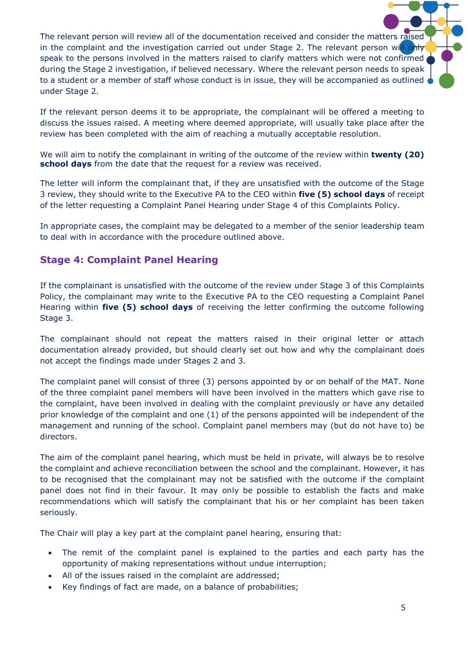The relevant person will review all of the documentation received and consider the matters raised in the complaint and the investigation carried out under Stage 2. The relevant person will only speak to the persons involved in the matters raised to clarify matters which were not confirmed during the Stage 2 investigation, if believed necessary. Where the relevant person needs to speak to a student or a member of staff whose conduct is in issue, they will be accompanied as outlined under Stage 2.

If the relevant person deems it to be appropriate, the complainant will be offered a meeting to discuss the issues raised. A meeting where deemed appropriate, will usually take place after the review has been completed with the aim of reaching a mutually acceptable resolution.

We will aim to notify the complainant in writing of the outcome of the review within **twenty (20) school days** from the date that the request for a review was received.

The letter will inform the complainant that, if they are unsatisfied with the outcome of the Stage 3 review, they should write to the Executive PA to the CEO within **five (5) school days** of receipt of the letter requesting a Complaint Panel Hearing under Stage 4 of this Complaints Policy.

In appropriate cases, the complaint may be delegated to a member of the senior leadership team to deal with in accordance with the procedure outlined above.

## **Stage 4: Complaint Panel Hearing**

If the complainant is unsatisfied with the outcome of the review under Stage 3 of this Complaints Policy, the complainant may write to the Executive PA to the CEO requesting a Complaint Panel Hearing within **five (5) school days** of receiving the letter confirming the outcome following Stage 3.

The complainant should not repeat the matters raised in their original letter or attach documentation already provided, but should clearly set out how and why the complainant does not accept the findings made under Stages 2 and 3.

The complaint panel will consist of three (3) persons appointed by or on behalf of the MAT. None of the three complaint panel members will have been involved in the matters which gave rise to the complaint, have been involved in dealing with the complaint previously or have any detailed prior knowledge of the complaint and one (1) of the persons appointed will be independent of the management and running of the school. Complaint panel members may (but do not have to) be directors.

The aim of the complaint panel hearing, which must be held in private, will always be to resolve the complaint and achieve reconciliation between the school and the complainant. However, it has to be recognised that the complainant may not be satisfied with the outcome if the complaint panel does not find in their favour. It may only be possible to establish the facts and make recommendations which will satisfy the complainant that his or her complaint has been taken seriously.

The Chair will play a key part at the complaint panel hearing, ensuring that:

- The remit of the complaint panel is explained to the parties and each party has the opportunity of making representations without undue interruption;
- All of the issues raised in the complaint are addressed;
- Key findings of fact are made, on a balance of probabilities;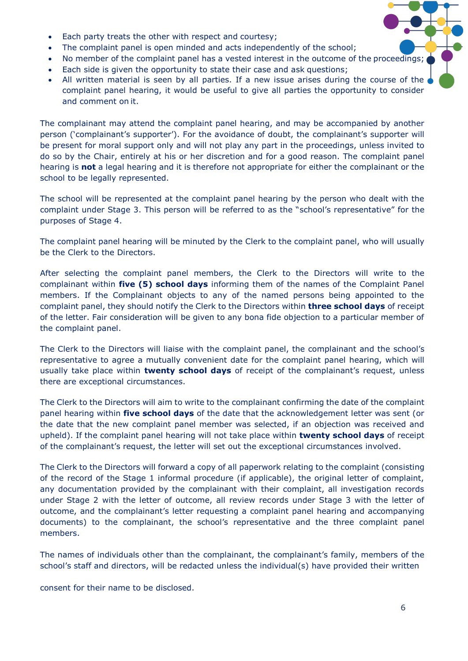- Each party treats the other with respect and courtesy;
- The complaint panel is open minded and acts independently of the school;
- No member of the complaint panel has a vested interest in the outcome of the proceedings;
- Each side is given the opportunity to state their case and ask questions;
- All written material is seen by all parties. If a new issue arises during the course of the complaint panel hearing, it would be useful to give all parties the opportunity to consider and comment on it.

The complainant may attend the complaint panel hearing, and may be accompanied by another person ('complainant's supporter'). For the avoidance of doubt, the complainant's supporter will be present for moral support only and will not play any part in the proceedings, unless invited to do so by the Chair, entirely at his or her discretion and for a good reason. The complaint panel hearing is **not** a legal hearing and it is therefore not appropriate for either the complainant or the school to be legally represented.

The school will be represented at the complaint panel hearing by the person who dealt with the complaint under Stage 3. This person will be referred to as the "school's representative" for the purposes of Stage 4.

The complaint panel hearing will be minuted by the Clerk to the complaint panel, who will usually be the Clerk to the Directors.

After selecting the complaint panel members, the Clerk to the Directors will write to the complainant within **five (5) school days** informing them of the names of the Complaint Panel members. If the Complainant objects to any of the named persons being appointed to the complaint panel, they should notify the Clerk to the Directors within **three school days** of receipt of the letter. Fair consideration will be given to any bona fide objection to a particular member of the complaint panel.

The Clerk to the Directors will liaise with the complaint panel, the complainant and the school's representative to agree a mutually convenient date for the complaint panel hearing, which will usually take place within **twenty school days** of receipt of the complainant's request, unless there are exceptional circumstances.

The Clerk to the Directors will aim to write to the complainant confirming the date of the complaint panel hearing within **five school days** of the date that the acknowledgement letter was sent (or the date that the new complaint panel member was selected, if an objection was received and upheld). If the complaint panel hearing will not take place within **twenty school days** of receipt of the complainant's request, the letter will set out the exceptional circumstances involved.

The Clerk to the Directors will forward a copy of all paperwork relating to the complaint (consisting of the record of the Stage 1 informal procedure (if applicable), the original letter of complaint, any documentation provided by the complainant with their complaint, all investigation records under Stage 2 with the letter of outcome, all review records under Stage 3 with the letter of outcome, and the complainant's letter requesting a complaint panel hearing and accompanying documents) to the complainant, the school's representative and the three complaint panel members.

The names of individuals other than the complainant, the complainant's family, members of the school's staff and directors, will be redacted unless the individual(s) have provided their written

consent for their name to be disclosed.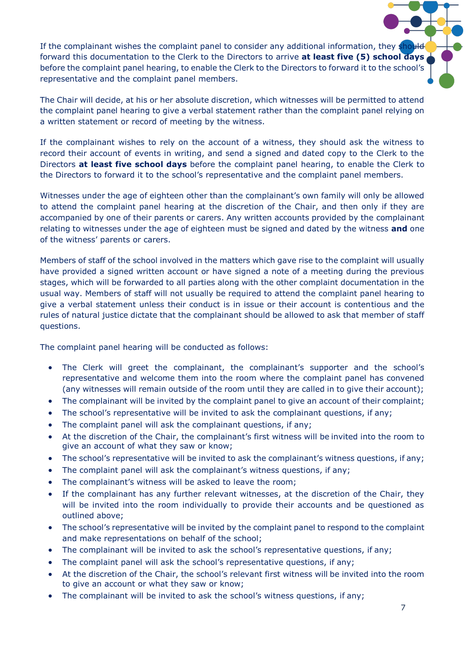If the complainant wishes the complaint panel to consider any additional information, they should forward this documentation to the Clerk to the Directors to arrive **at least five (5) school days** 

before the complaint panel hearing, to enable the Clerk to the Directors to forward it to the school's representative and the complaint panel members.

The Chair will decide, at his or her absolute discretion, which witnesses will be permitted to attend the complaint panel hearing to give a verbal statement rather than the complaint panel relying on a written statement or record of meeting by the witness.

If the complainant wishes to rely on the account of a witness, they should ask the witness to record their account of events in writing, and send a signed and dated copy to the Clerk to the Directors **at least five school days** before the complaint panel hearing, to enable the Clerk to the Directors to forward it to the school's representative and the complaint panel members.

Witnesses under the age of eighteen other than the complainant's own family will only be allowed to attend the complaint panel hearing at the discretion of the Chair, and then only if they are accompanied by one of their parents or carers. Any written accounts provided by the complainant relating to witnesses under the age of eighteen must be signed and dated by the witness **and** one of the witness' parents or carers.

Members of staff of the school involved in the matters which gave rise to the complaint will usually have provided a signed written account or have signed a note of a meeting during the previous stages, which will be forwarded to all parties along with the other complaint documentation in the usual way. Members of staff will not usually be required to attend the complaint panel hearing to give a verbal statement unless their conduct is in issue or their account is contentious and the rules of natural justice dictate that the complainant should be allowed to ask that member of staff questions.

The complaint panel hearing will be conducted as follows:

- The Clerk will greet the complainant, the complainant's supporter and the school's representative and welcome them into the room where the complaint panel has convened (any witnesses will remain outside of the room until they are called in to give their account);
- The complainant will be invited by the complaint panel to give an account of their complaint;
- The school's representative will be invited to ask the complainant questions, if any;
- The complaint panel will ask the complainant questions, if any;
- At the discretion of the Chair, the complainant's first witness will be invited into the room to give an account of what they saw or know;
- The school's representative will be invited to ask the complainant's witness questions, if any;
- The complaint panel will ask the complainant's witness questions, if any;
- The complainant's witness will be asked to leave the room;
- If the complainant has any further relevant witnesses, at the discretion of the Chair, they will be invited into the room individually to provide their accounts and be questioned as outlined above;
- The school's representative will be invited by the complaint panel to respond to the complaint and make representations on behalf of the school;
- The complainant will be invited to ask the school's representative questions, if any;
- The complaint panel will ask the school's representative questions, if any;
- At the discretion of the Chair, the school's relevant first witness will be invited into the room to give an account or what they saw or know;
- The complainant will be invited to ask the school's witness questions, if any;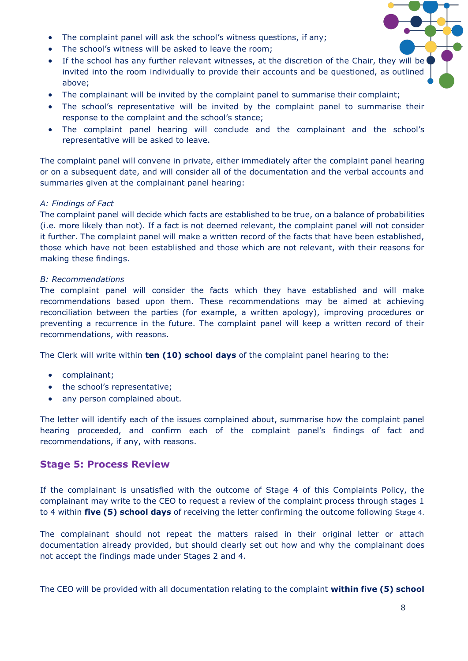- The complaint panel will ask the school's witness questions, if any;
- The school's witness will be asked to leave the room;
- If the school has any further relevant witnesses, at the discretion of the Chair, they will be invited into the room individually to provide their accounts and be questioned, as outlined above;
- The complainant will be invited by the complaint panel to summarise their complaint;
- The school's representative will be invited by the complaint panel to summarise their response to the complaint and the school's stance;
- The complaint panel hearing will conclude and the complainant and the school's representative will be asked to leave.

The complaint panel will convene in private, either immediately after the complaint panel hearing or on a subsequent date, and will consider all of the documentation and the verbal accounts and summaries given at the complainant panel hearing:

## *A: Findings of Fact*

The complaint panel will decide which facts are established to be true, on a balance of probabilities (i.e. more likely than not). If a fact is not deemed relevant, the complaint panel will not consider it further. The complaint panel will make a written record of the facts that have been established, those which have not been established and those which are not relevant, with their reasons for making these findings.

## *B: Recommendations*

The complaint panel will consider the facts which they have established and will make recommendations based upon them. These recommendations may be aimed at achieving reconciliation between the parties (for example, a written apology), improving procedures or preventing a recurrence in the future. The complaint panel will keep a written record of their recommendations, with reasons.

The Clerk will write within **ten (10) school days** of the complaint panel hearing to the:

- complainant;
- the school's representative;
- any person complained about.

The letter will identify each of the issues complained about, summarise how the complaint panel hearing proceeded, and confirm each of the complaint panel's findings of fact and recommendations, if any, with reasons.

## **Stage 5: Process Review**

If the complainant is unsatisfied with the outcome of Stage 4 of this Complaints Policy, the complainant may write to the CEO to request a review of the complaint process through stages 1 to 4 within **five (5) school days** of receiving the letter confirming the outcome following Stage 4.

The complainant should not repeat the matters raised in their original letter or attach documentation already provided, but should clearly set out how and why the complainant does not accept the findings made under Stages 2 and 4.

The CEO will be provided with all documentation relating to the complaint **within five (5) school**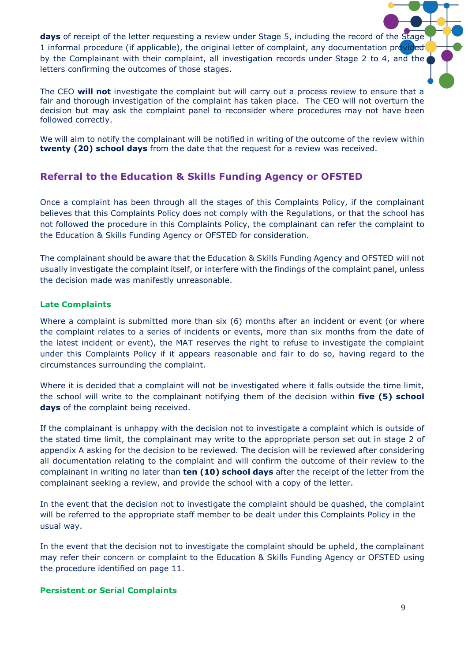days of receipt of the letter requesting a review under Stage 5, including the record of the Stage 1 informal procedure (if applicable), the original letter of complaint, any documentation provided by the Complainant with their complaint, all investigation records under Stage 2 to 4, and the letters confirming the outcomes of those stages.

The CEO **will not** investigate the complaint but will carry out a process review to ensure that a fair and thorough investigation of the complaint has taken place. The CEO will not overturn the decision but may ask the complaint panel to reconsider where procedures may not have been followed correctly.

We will aim to notify the complainant will be notified in writing of the outcome of the review within **twenty (20) school days** from the date that the request for a review was received.

# **Referral to the Education & Skills Funding Agency or OFSTED**

Once a complaint has been through all the stages of this Complaints Policy, if the complainant believes that this Complaints Policy does not comply with the Regulations, or that the school has not followed the procedure in this Complaints Policy, the complainant can refer the complaint to the Education & Skills Funding Agency or OFSTED for consideration.

The complainant should be aware that the Education & Skills Funding Agency and OFSTED will not usually investigate the complaint itself, or interfere with the findings of the complaint panel, unless the decision made was manifestly unreasonable.

## **Late Complaints**

Where a complaint is submitted more than six (6) months after an incident or event (or where the complaint relates to a series of incidents or events, more than six months from the date of the latest incident or event), the MAT reserves the right to refuse to investigate the complaint under this Complaints Policy if it appears reasonable and fair to do so, having regard to the circumstances surrounding the complaint.

Where it is decided that a complaint will not be investigated where it falls outside the time limit, the school will write to the complainant notifying them of the decision within **five (5) school days** of the complaint being received.

If the complainant is unhappy with the decision not to investigate a complaint which is outside of the stated time limit, the complainant may write to the appropriate person set out in stage 2 of appendix A asking for the decision to be reviewed. The decision will be reviewed after considering all documentation relating to the complaint and will confirm the outcome of their review to the complainant in writing no later than **ten (10) school days** after the receipt of the letter from the complainant seeking a review, and provide the school with a copy of the letter.

In the event that the decision not to investigate the complaint should be quashed, the complaint will be referred to the appropriate staff member to be dealt under this Complaints Policy in the usual way.

In the event that the decision not to investigate the complaint should be upheld, the complainant may refer their concern or complaint to the Education & Skills Funding Agency or OFSTED using the procedure identified on page 11.

## **Persistent or Serial Complaints**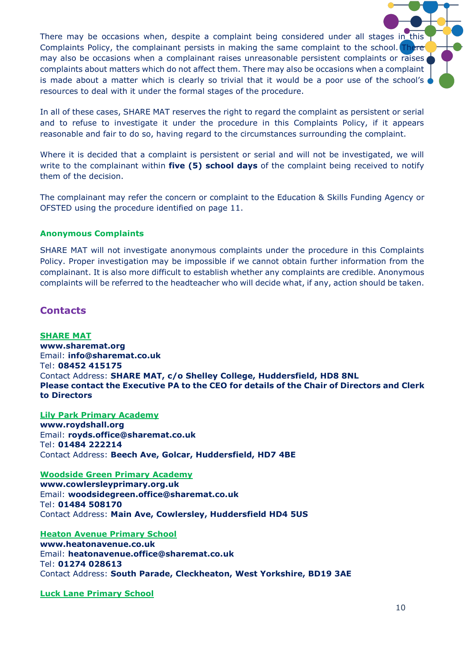There may be occasions when, despite a complaint being considered under all stages in this Complaints Policy, the complainant persists in making the same complaint to the school. There may also be occasions when a complainant raises unreasonable persistent complaints or raises complaints about matters which do not affect them. There may also be occasions when a complaint is made about a matter which is clearly so trivial that it would be a poor use of the school's resources to deal with it under the formal stages of the procedure.

In all of these cases, SHARE MAT reserves the right to regard the complaint as persistent or serial and to refuse to investigate it under the procedure in this Complaints Policy, if it appears reasonable and fair to do so, having regard to the circumstances surrounding the complaint.

Where it is decided that a complaint is persistent or serial and will not be investigated, we will write to the complainant within **five (5) school days** of the complaint being received to notify them of the decision.

The complainant may refer the concern or complaint to the Education & Skills Funding Agency or OFSTED using the procedure identified on page 11.

### **Anonymous Complaints**

SHARE MAT will not investigate anonymous complaints under the procedure in this Complaints Policy. Proper investigation may be impossible if we cannot obtain further information from the complainant. It is also more difficult to establish whether any complaints are credible. Anonymous complaints will be referred to the headteacher who will decide what, if any, action should be taken.

## **Contacts**

**SHARE MAT www.sharemat.org** Email: **info@sharemat.co.uk** Tel: **08452 415175** Contact Address: **SHARE MAT, c/o Shelley College, Huddersfield, HD8 8NL Please contact the Executive PA to the CEO for details of the Chair of Directors and Clerk to Directors**

**Lily Park Primary Academy [www.roydshall.org](http://www.roydshall.org/)** Email: **royds.office@sharemat.co.uk** Tel: **01484 222214** Contact Address: **Beech Ave, Golcar, Huddersfield, HD7 4BE**

#### **Woodside Green Primary Academy**

**[www.cowlersleyprimary.org.uk](http://www.cowlersleyprimary.org.uk/)** Email: **woodsidegreen.office@sharemat.co.uk** Tel: **01484 508170** Contact Address: **Main Ave, Cowlersley, Huddersfield HD4 5US**

**Heaton Avenue Primary School**

**www.heatonavenue.co.uk** Email: **heatonavenue.office@sharemat.co.uk** Tel: **01274 028613** Contact Address: **South Parade, Cleckheaton, West Yorkshire, BD19 3AE**

**Luck Lane Primary School**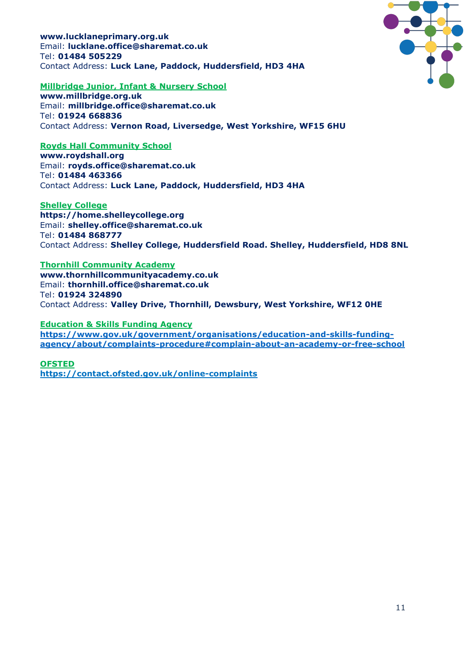**www.lucklaneprimary.org.uk** Email: **lucklane.office@sharemat.co.uk** Tel: **01484 505229** Contact Address: **Luck Lane, Paddock, Huddersfield, HD3 4HA**



#### **Millbridge Junior, Infant & Nursery School**

**[www.millbridge.org.uk](http://www.mjin.org.uk/)** Email: **millbridge.office@sharemat.co.uk** Tel: **01924 668836** Contact Address: **Vernon Road, Liversedge, West Yorkshire, WF15 6HU**

## **Royds Hall Community School**

**[www.roydshall.org](http://www.roydshall.org/)** Email: **royds.office@sharemat.co.uk** Tel: **01484 463366** Contact Address: **Luck Lane, Paddock, Huddersfield, HD3 4HA**

#### **Shelley College**

**[https://home.shelleycollege.org](https://home.shelleycollege.org/)** Email: **shelley.office@sharemat.co.uk** Tel: **01484 868777** Contact Address: **Shelley College, Huddersfield Road. Shelley, Huddersfield, HD8 8NL**

## **Thornhill Community Academy**

**[www.thornhillcommunityacademy.co.uk](http://www.thornhillcommunityacademy.co.uk/)** Email: **thornhill.office@sharemat.co.uk** Tel: **01924 324890** Contact Address: **Valley Drive, Thornhill, Dewsbury, West Yorkshire, WF12 0HE**

#### **Education & Skills Funding Agency**

**[https://www.gov.uk/government/organisations/education-and-skills-funding](https://www.gov.uk/government/organisations/education-and-skills-funding-agency/about/complaints-procedure#complain-about-an-academy-or-free-school)[agency/about/complaints-procedure#complain-about-an-academy-or-free-school](https://www.gov.uk/government/organisations/education-and-skills-funding-agency/about/complaints-procedure#complain-about-an-academy-or-free-school)**

#### **OFSTED**

**<https://contact.ofsted.gov.uk/online-complaints>**